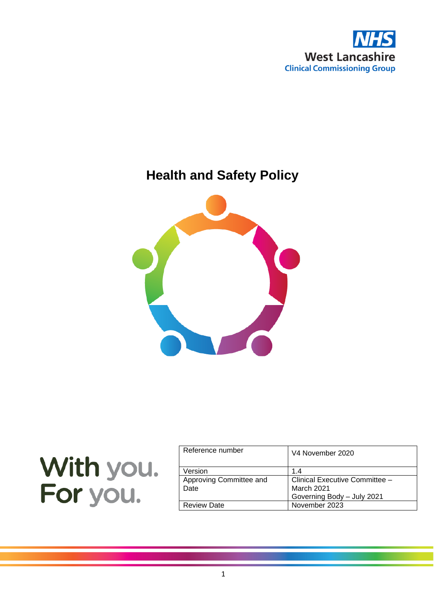

# **Health and Safety Policy**



|          | With you. |
|----------|-----------|
| For you. |           |

| Reference number                | V4 November 2020                                                                  |
|---------------------------------|-----------------------------------------------------------------------------------|
| Version                         | 14                                                                                |
| Approving Committee and<br>Date | Clinical Executive Committee -<br><b>March 2021</b><br>Governing Body - July 2021 |
| <b>Review Date</b>              | November 2023                                                                     |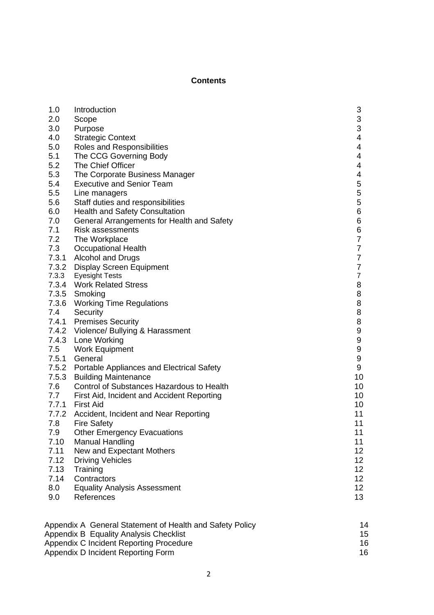#### **Contents**

| 1.0   | Introduction                                             | 3                |
|-------|----------------------------------------------------------|------------------|
| 2.0   | Scope                                                    | $\frac{3}{3}$    |
| 3.0   | Purpose                                                  |                  |
| 4.0   | <b>Strategic Context</b>                                 | 4                |
| 5.0   | Roles and Responsibilities                               | 4                |
| 5.1   | The CCG Governing Body                                   | 4                |
| 5.2   | The Chief Officer                                        | 4                |
| 5.3   | The Corporate Business Manager                           | 4                |
| 5.4   | <b>Executive and Senior Team</b>                         | 5                |
| 5.5   | Line managers                                            | 5                |
| 5.6   | Staff duties and responsibilities                        | 5                |
| 6.0   | <b>Health and Safety Consultation</b>                    | 6                |
| 7.0   | General Arrangements for Health and Safety               | 6                |
| 7.1   | <b>Risk assessments</b>                                  | 6                |
| 7.2   | The Workplace                                            | $\overline{7}$   |
| 7.3   | <b>Occupational Health</b>                               | $\overline{7}$   |
|       | 7.3.1 Alcohol and Drugs                                  | $\overline{7}$   |
|       | 7.3.2 Display Screen Equipment                           | $\overline{7}$   |
| 7.3.3 | Eyesight Tests                                           | $\overline{7}$   |
|       | 7.3.4 Work Related Stress                                | 8                |
|       | 7.3.5 Smoking                                            | 8                |
|       | 7.3.6 Working Time Regulations                           | 8                |
|       | 7.4 Security                                             | 8                |
|       | 7.4.1 Premises Security                                  | 8                |
|       | 7.4.2 Violence/ Bullying & Harassment                    | 9                |
|       | 7.4.3 Lone Working                                       | 9                |
|       | 7.5 Work Equipment                                       | 9                |
|       | 7.5.1 General                                            | $\boldsymbol{9}$ |
|       | 7.5.2 Portable Appliances and Electrical Safety          | 9                |
| 7.5.3 | <b>Building Maintenance</b>                              | 10               |
| 7.6   | Control of Substances Hazardous to Health                | 10               |
| 7.7   | First Aid, Incident and Accident Reporting               | 10               |
|       | 7.7.1 First Aid                                          | 10               |
|       | 7.7.2 Accident, Incident and Near Reporting              | 11               |
| 7.8   | <b>Fire Safety</b>                                       | 11               |
| 7.9   | <b>Other Emergency Evacuations</b>                       | 11               |
| 7.10  | <b>Manual Handling</b>                                   | 11               |
| 7.11  | New and Expectant Mothers                                | 12 <sub>2</sub>  |
| 7.12  | <b>Driving Vehicles</b>                                  | 12 <sub>2</sub>  |
| 7.13  | Training                                                 | 12 <sub>2</sub>  |
| 7.14  | Contractors                                              | 12 <sub>2</sub>  |
| 8.0   | <b>Equality Analysis Assessment</b>                      | 12 <sub>2</sub>  |
| 9.0   | References                                               | 13               |
|       |                                                          |                  |
|       | Appendix A General Statement of Health and Safety Policy | 14               |
|       | Appendix B Equality Analysis Checklist                   | 15<br>16         |
|       | Appendix C Incident Reporting Procedure                  |                  |

Appendix D Incident Reporting Form 16 and 16 and 16 and 16 and 16 and 16 and 16 and 16 and 16 and 16 and 16 and 16 and 16 and 16 and 16 and 16 and 16 and 16 and 16 and 16 and 16 and 16 and 16 and 16 and 16 and 16 and 16 an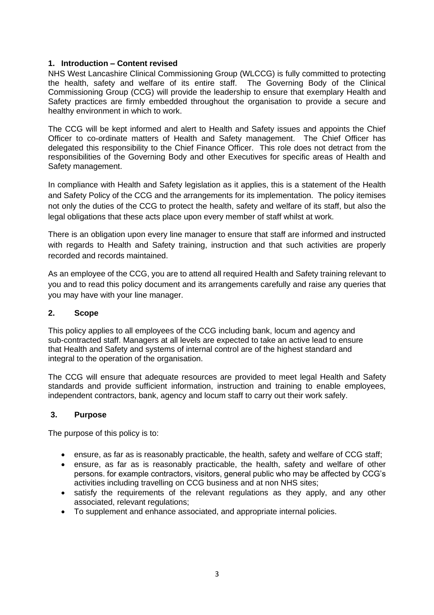#### **1. Introduction – Content revised**

NHS West Lancashire Clinical Commissioning Group (WLCCG) is fully committed to protecting the health, safety and welfare of its entire staff. The Governing Body of the Clinical Commissioning Group (CCG) will provide the leadership to ensure that exemplary Health and Safety practices are firmly embedded throughout the organisation to provide a secure and healthy environment in which to work.

The CCG will be kept informed and alert to Health and Safety issues and appoints the Chief Officer to co-ordinate matters of Health and Safety management. The Chief Officer has delegated this responsibility to the Chief Finance Officer. This role does not detract from the responsibilities of the Governing Body and other Executives for specific areas of Health and Safety management.

In compliance with Health and Safety legislation as it applies, this is a statement of the Health and Safety Policy of the CCG and the arrangements for its implementation. The policy itemises not only the duties of the CCG to protect the health, safety and welfare of its staff, but also the legal obligations that these acts place upon every member of staff whilst at work.

There is an obligation upon every line manager to ensure that staff are informed and instructed with regards to Health and Safety training, instruction and that such activities are properly recorded and records maintained.

As an employee of the CCG, you are to attend all required Health and Safety training relevant to you and to read this policy document and its arrangements carefully and raise any queries that you may have with your line manager.

#### **2. Scope**

This policy applies to all employees of the CCG including bank, locum and agency and sub-contracted staff. Managers at all levels are expected to take an active lead to ensure that Health and Safety and systems of internal control are of the highest standard and integral to the operation of the organisation.

The CCG will ensure that adequate resources are provided to meet legal Health and Safety standards and provide sufficient information, instruction and training to enable employees, independent contractors, bank, agency and locum staff to carry out their work safely.

#### **3. Purpose**

The purpose of this policy is to:

- ensure, as far as is reasonably practicable, the health, safety and welfare of CCG staff;
- ensure, as far as is reasonably practicable, the health, safety and welfare of other persons. for example contractors, visitors, general public who may be affected by CCG's activities including travelling on CCG business and at non NHS sites;
- satisfy the requirements of the relevant regulations as they apply, and any other associated, relevant regulations;
- To supplement and enhance associated, and appropriate internal policies.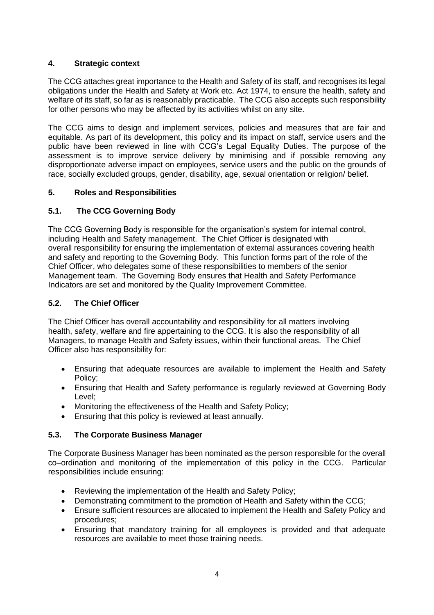## **4. Strategic context**

The CCG attaches great importance to the Health and Safety of its staff, and recognises its legal obligations under the Health and Safety at Work etc. Act 1974, to ensure the health, safety and welfare of its staff, so far as is reasonably practicable. The CCG also accepts such responsibility for other persons who may be affected by its activities whilst on any site.

The CCG aims to design and implement services, policies and measures that are fair and equitable. As part of its development, this policy and its impact on staff, service users and the public have been reviewed in line with CCG's Legal Equality Duties. The purpose of the assessment is to improve service delivery by minimising and if possible removing any disproportionate adverse impact on employees, service users and the public on the grounds of race, socially excluded groups, gender, disability, age, sexual orientation or religion/ belief.

#### **5. Roles and Responsibilities**

## **5.1. The CCG Governing Body**

The CCG Governing Body is responsible for the organisation's system for internal control, including Health and Safety management. The Chief Officer is designated with overall responsibility for ensuring the implementation of external assurances covering health and safety and reporting to the Governing Body. This function forms part of the role of the Chief Officer, who delegates some of these responsibilities to members of the senior Management team. The Governing Body ensures that Health and Safety Performance Indicators are set and monitored by the Quality Improvement Committee.

#### **5.2. The Chief Officer**

The Chief Officer has overall accountability and responsibility for all matters involving health, safety, welfare and fire appertaining to the CCG. It is also the responsibility of all Managers, to manage Health and Safety issues, within their functional areas. The Chief Officer also has responsibility for:

- Ensuring that adequate resources are available to implement the Health and Safety Policy;
- Ensuring that Health and Safety performance is regularly reviewed at Governing Body Level;
- Monitoring the effectiveness of the Health and Safety Policy;
- Ensuring that this policy is reviewed at least annually.

#### **5.3. The Corporate Business Manager**

The Corporate Business Manager has been nominated as the person responsible for the overall co–ordination and monitoring of the implementation of this policy in the CCG. Particular responsibilities include ensuring:

- Reviewing the implementation of the Health and Safety Policy;
- Demonstrating commitment to the promotion of Health and Safety within the CCG;
- Ensure sufficient resources are allocated to implement the Health and Safety Policy and procedures;
- Ensuring that mandatory training for all employees is provided and that adequate resources are available to meet those training needs.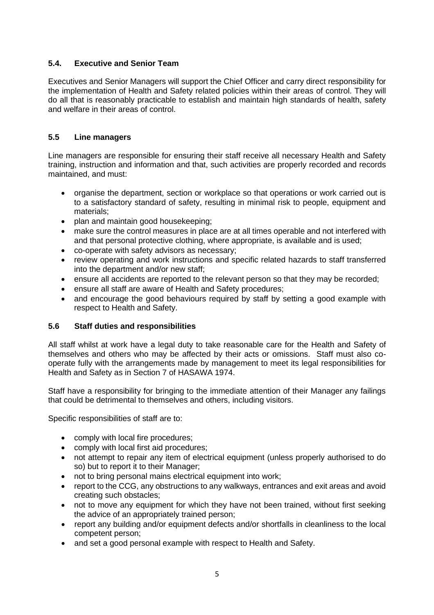## **5.4. Executive and Senior Team**

Executives and Senior Managers will support the Chief Officer and carry direct responsibility for the implementation of Health and Safety related policies within their areas of control. They will do all that is reasonably practicable to establish and maintain high standards of health, safety and welfare in their areas of control.

## **5.5 Line managers**

Line managers are responsible for ensuring their staff receive all necessary Health and Safety training, instruction and information and that, such activities are properly recorded and records maintained, and must:

- organise the department, section or workplace so that operations or work carried out is to a satisfactory standard of safety, resulting in minimal risk to people, equipment and materials;
- plan and maintain good housekeeping;
- make sure the control measures in place are at all times operable and not interfered with and that personal protective clothing, where appropriate, is available and is used;
- co-operate with safety advisors as necessary;
- review operating and work instructions and specific related hazards to staff transferred into the department and/or new staff;
- ensure all accidents are reported to the relevant person so that they may be recorded;
- ensure all staff are aware of Health and Safety procedures;
- and encourage the good behaviours required by staff by setting a good example with respect to Health and Safety.

#### **5.6 Staff duties and responsibilities**

All staff whilst at work have a legal duty to take reasonable care for the Health and Safety of themselves and others who may be affected by their acts or omissions. Staff must also cooperate fully with the arrangements made by management to meet its legal responsibilities for Health and Safety as in Section 7 of HASAWA 1974.

Staff have a responsibility for bringing to the immediate attention of their Manager any failings that could be detrimental to themselves and others, including visitors.

Specific responsibilities of staff are to:

- comply with local fire procedures;
- comply with local first aid procedures;
- not attempt to repair any item of electrical equipment (unless properly authorised to do so) but to report it to their Manager;
- not to bring personal mains electrical equipment into work;
- report to the CCG, any obstructions to any walkways, entrances and exit areas and avoid creating such obstacles;
- not to move any equipment for which they have not been trained, without first seeking the advice of an appropriately trained person;
- report any building and/or equipment defects and/or shortfalls in cleanliness to the local competent person;
- and set a good personal example with respect to Health and Safety.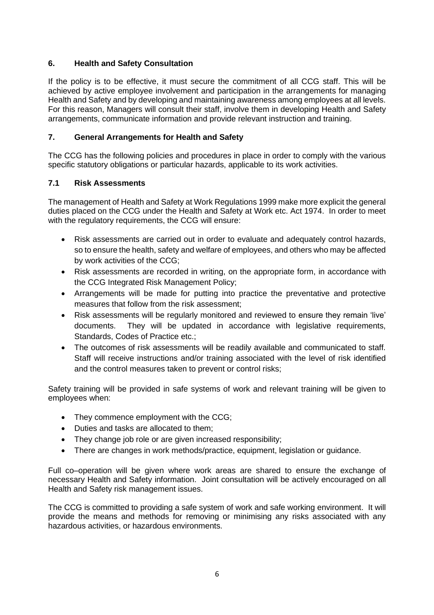## **6. Health and Safety Consultation**

If the policy is to be effective, it must secure the commitment of all CCG staff. This will be achieved by active employee involvement and participation in the arrangements for managing Health and Safety and by developing and maintaining awareness among employees at all levels. For this reason, Managers will consult their staff, involve them in developing Health and Safety arrangements, communicate information and provide relevant instruction and training.

## **7. General Arrangements for Health and Safety**

The CCG has the following policies and procedures in place in order to comply with the various specific statutory obligations or particular hazards, applicable to its work activities.

#### **7.1 Risk Assessments**

The management of Health and Safety at Work Regulations 1999 make more explicit the general duties placed on the CCG under the Health and Safety at Work etc. Act 1974. In order to meet with the regulatory requirements, the CCG will ensure:

- Risk assessments are carried out in order to evaluate and adequately control hazards, so to ensure the health, safety and welfare of employees, and others who may be affected by work activities of the CCG;
- Risk assessments are recorded in writing, on the appropriate form, in accordance with the CCG Integrated Risk Management Policy;
- Arrangements will be made for putting into practice the preventative and protective measures that follow from the risk assessment;
- Risk assessments will be regularly monitored and reviewed to ensure they remain 'live' documents. They will be updated in accordance with legislative requirements, Standards, Codes of Practice etc.;
- The outcomes of risk assessments will be readily available and communicated to staff. Staff will receive instructions and/or training associated with the level of risk identified and the control measures taken to prevent or control risks;

Safety training will be provided in safe systems of work and relevant training will be given to employees when:

- They commence employment with the CCG;
- Duties and tasks are allocated to them;
- They change job role or are given increased responsibility;
- There are changes in work methods/practice, equipment, legislation or guidance.

Full co–operation will be given where work areas are shared to ensure the exchange of necessary Health and Safety information. Joint consultation will be actively encouraged on all Health and Safety risk management issues.

The CCG is committed to providing a safe system of work and safe working environment. It will provide the means and methods for removing or minimising any risks associated with any hazardous activities, or hazardous environments.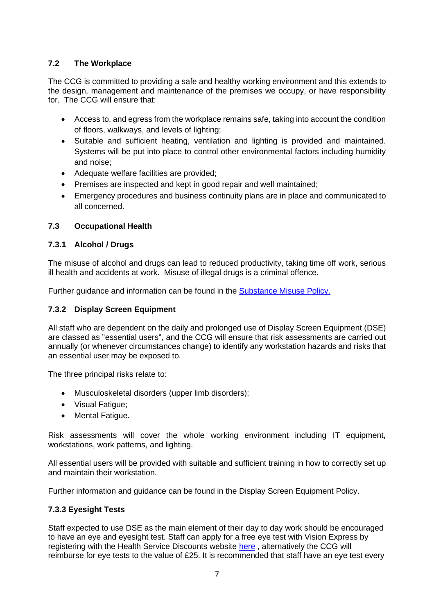## **7.2 The Workplace**

The CCG is committed to providing a safe and healthy working environment and this extends to the design, management and maintenance of the premises we occupy, or have responsibility for. The CCG will ensure that:

- Access to, and egress from the workplace remains safe, taking into account the condition of floors, walkways, and levels of lighting;
- Suitable and sufficient heating, ventilation and lighting is provided and maintained. Systems will be put into place to control other environmental factors including humidity and noise;
- Adequate welfare facilities are provided;
- Premises are inspected and kept in good repair and well maintained;
- Emergency procedures and business continuity plans are in place and communicated to all concerned.

#### **7.3 Occupational Health**

#### **7.3.1 Alcohol / Drugs**

The misuse of alcohol and drugs can lead to reduced productivity, taking time off work, serious ill health and accidents at work. Misuse of illegal drugs is a criminal offence.

Further guidance and information can be found in the [Substance Misuse Policy.](https://www.westlancashireccg.nhs.uk/wp-content/uploads/HR25-Substance-Misuse-Policy.pdf)

#### **7.3.2 Display Screen Equipment**

All staff who are dependent on the daily and prolonged use of Display Screen Equipment (DSE) are classed as "essential users", and the CCG will ensure that risk assessments are carried out annually (or whenever circumstances change) to identify any workstation hazards and risks that an essential user may be exposed to.

The three principal risks relate to:

- Musculoskeletal disorders (upper limb disorders);
- Visual Fatigue;
- Mental Fatigue.

Risk assessments will cover the whole working environment including IT equipment, workstations, work patterns, and lighting.

All essential users will be provided with suitable and sufficient training in how to correctly set up and maintain their workstation.

Further information and guidance can be found in the Display Screen Equipment Policy.

#### **7.3.3 Eyesight Tests**

Staff expected to use DSE as the main element of their day to day work should be encouraged to have an eye and eyesight test. Staff can apply for a free eye test with Vision Express by registering with the Health Service Discounts website [here](https://healthservicediscounts.com/), alternatively the CCG will reimburse for eye tests to the value of £25. It is recommended that staff have an eye test every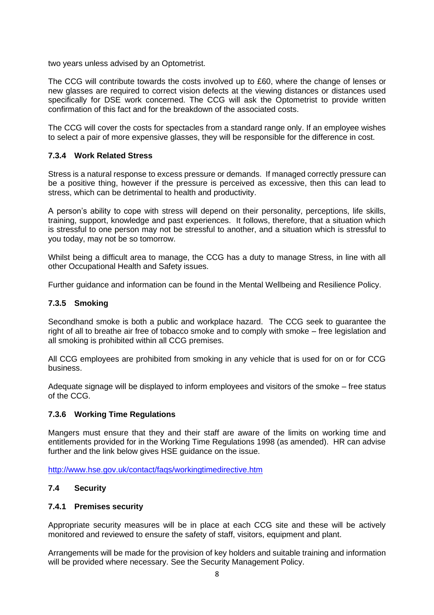two years unless advised by an Optometrist.

The CCG will contribute towards the costs involved up to £60, where the change of lenses or new glasses are required to correct vision defects at the viewing distances or distances used specifically for DSE work concerned. The CCG will ask the Optometrist to provide written confirmation of this fact and for the breakdown of the associated costs.

The CCG will cover the costs for spectacles from a standard range only. If an employee wishes to select a pair of more expensive glasses, they will be responsible for the difference in cost.

#### **7.3.4 Work Related Stress**

Stress is a natural response to excess pressure or demands. If managed correctly pressure can be a positive thing, however if the pressure is perceived as excessive, then this can lead to stress, which can be detrimental to health and productivity.

A person's ability to cope with stress will depend on their personality, perceptions, life skills, training, support, knowledge and past experiences. It follows, therefore, that a situation which is stressful to one person may not be stressful to another, and a situation which is stressful to you today, may not be so tomorrow.

Whilst being a difficult area to manage, the CCG has a duty to manage Stress, in line with all other Occupational Health and Safety issues.

Further guidance and information can be found in the Mental Wellbeing and Resilience Policy.

#### **7.3.5 Smoking**

Secondhand smoke is both a public and workplace hazard. The CCG seek to guarantee the right of all to breathe air free of tobacco smoke and to comply with smoke – free legislation and all smoking is prohibited within all CCG premises.

All CCG employees are prohibited from smoking in any vehicle that is used for on or for CCG business.

Adequate signage will be displayed to inform employees and visitors of the smoke – free status of the CCG.

#### **7.3.6 Working Time Regulations**

Mangers must ensure that they and their staff are aware of the limits on working time and entitlements provided for in the Working Time Regulations 1998 (as amended). HR can advise further and the link below gives HSE guidance on the issue.

http://www.hse.gov.uk/contact/fags/workingtimedirective.htm

#### **7.4 Security**

#### **7.4.1 Premises security**

Appropriate security measures will be in place at each CCG site and these will be actively monitored and reviewed to ensure the safety of staff, visitors, equipment and plant.

Arrangements will be made for the provision of key holders and suitable training and information will be provided where necessary. See the Security Management Policy.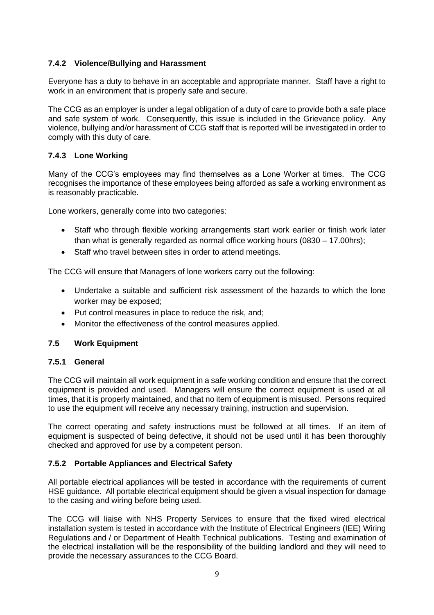## **7.4.2 Violence/Bullying and Harassment**

Everyone has a duty to behave in an acceptable and appropriate manner. Staff have a right to work in an environment that is properly safe and secure.

The CCG as an employer is under a legal obligation of a duty of care to provide both a safe place and safe system of work. Consequently, this issue is included in the Grievance policy. Any violence, bullying and/or harassment of CCG staff that is reported will be investigated in order to comply with this duty of care.

#### **7.4.3 Lone Working**

Many of the CCG's employees may find themselves as a Lone Worker at times. The CCG recognises the importance of these employees being afforded as safe a working environment as is reasonably practicable.

Lone workers, generally come into two categories:

- Staff who through flexible working arrangements start work earlier or finish work later than what is generally regarded as normal office working hours (0830 – 17.00hrs);
- Staff who travel between sites in order to attend meetings.

The CCG will ensure that Managers of lone workers carry out the following:

- Undertake a suitable and sufficient risk assessment of the hazards to which the lone worker may be exposed;
- Put control measures in place to reduce the risk, and;
- Monitor the effectiveness of the control measures applied.

#### **7.5 Work Equipment**

#### **7.5.1 General**

The CCG will maintain all work equipment in a safe working condition and ensure that the correct equipment is provided and used. Managers will ensure the correct equipment is used at all times, that it is properly maintained, and that no item of equipment is misused. Persons required to use the equipment will receive any necessary training, instruction and supervision.

The correct operating and safety instructions must be followed at all times. If an item of equipment is suspected of being defective, it should not be used until it has been thoroughly checked and approved for use by a competent person.

#### **7.5.2 Portable Appliances and Electrical Safety**

All portable electrical appliances will be tested in accordance with the requirements of current HSE guidance. All portable electrical equipment should be given a visual inspection for damage to the casing and wiring before being used.

The CCG will liaise with NHS Property Services to ensure that the fixed wired electrical installation system is tested in accordance with the Institute of Electrical Engineers (IEE) Wiring Regulations and / or Department of Health Technical publications. Testing and examination of the electrical installation will be the responsibility of the building landlord and they will need to provide the necessary assurances to the CCG Board.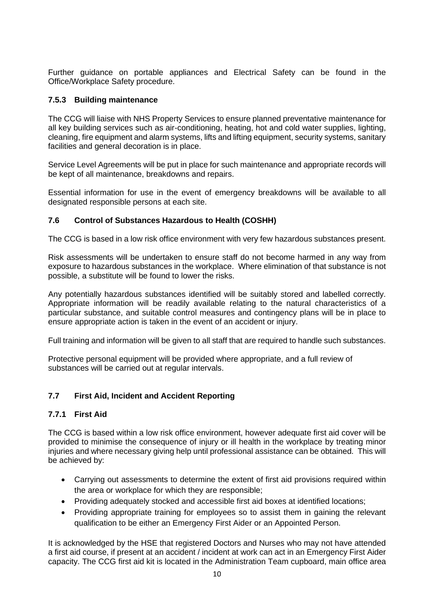Further guidance on portable appliances and Electrical Safety can be found in the Office/Workplace Safety procedure.

#### **7.5.3 Building maintenance**

The CCG will liaise with NHS Property Services to ensure planned preventative maintenance for all key building services such as air-conditioning, heating, hot and cold water supplies, lighting, cleaning, fire equipment and alarm systems, lifts and lifting equipment, security systems, sanitary facilities and general decoration is in place.

Service Level Agreements will be put in place for such maintenance and appropriate records will be kept of all maintenance, breakdowns and repairs.

Essential information for use in the event of emergency breakdowns will be available to all designated responsible persons at each site.

#### **7.6 Control of Substances Hazardous to Health (COSHH)**

The CCG is based in a low risk office environment with very few hazardous substances present.

Risk assessments will be undertaken to ensure staff do not become harmed in any way from exposure to hazardous substances in the workplace. Where elimination of that substance is not possible, a substitute will be found to lower the risks.

Any potentially hazardous substances identified will be suitably stored and labelled correctly. Appropriate information will be readily available relating to the natural characteristics of a particular substance, and suitable control measures and contingency plans will be in place to ensure appropriate action is taken in the event of an accident or injury.

Full training and information will be given to all staff that are required to handle such substances.

Protective personal equipment will be provided where appropriate, and a full review of substances will be carried out at regular intervals.

#### **7.7 First Aid, Incident and Accident Reporting**

#### **7.7.1 First Aid**

The CCG is based within a low risk office environment, however adequate first aid cover will be provided to minimise the consequence of injury or ill health in the workplace by treating minor injuries and where necessary giving help until professional assistance can be obtained. This will be achieved by:

- Carrying out assessments to determine the extent of first aid provisions required within the area or workplace for which they are responsible;
- Providing adequately stocked and accessible first aid boxes at identified locations;
- Providing appropriate training for employees so to assist them in gaining the relevant qualification to be either an Emergency First Aider or an Appointed Person.

It is acknowledged by the HSE that registered Doctors and Nurses who may not have attended a first aid course, if present at an accident / incident at work can act in an Emergency First Aider capacity. The CCG first aid kit is located in the Administration Team cupboard, main office area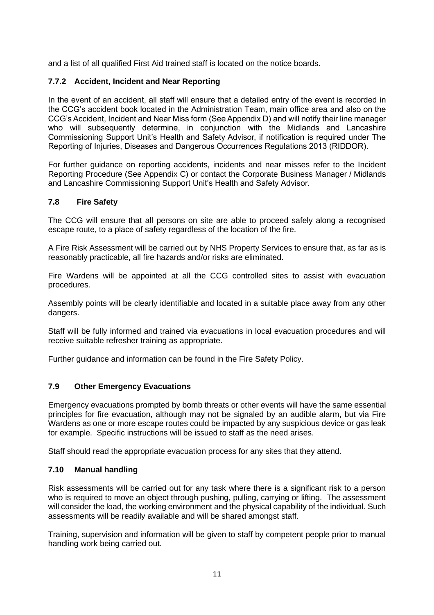and a list of all qualified First Aid trained staff is located on the notice boards.

#### **7.7.2 Accident, Incident and Near Reporting**

In the event of an accident, all staff will ensure that a detailed entry of the event is recorded in the CCG's accident book located in the Administration Team, main office area and also on the CCG's Accident, Incident and Near Miss form (See Appendix D) and will notify their line manager who will subsequently determine, in conjunction with the Midlands and Lancashire Commissioning Support Unit's Health and Safety Advisor, if notification is required under The Reporting of Injuries, Diseases and Dangerous Occurrences Regulations 2013 (RIDDOR).

For further guidance on reporting accidents, incidents and near misses refer to the Incident Reporting Procedure (See Appendix C) or contact the Corporate Business Manager / Midlands and Lancashire Commissioning Support Unit's Health and Safety Advisor.

#### **7.8 Fire Safety**

The CCG will ensure that all persons on site are able to proceed safely along a recognised escape route, to a place of safety regardless of the location of the fire.

A Fire Risk Assessment will be carried out by NHS Property Services to ensure that, as far as is reasonably practicable, all fire hazards and/or risks are eliminated.

Fire Wardens will be appointed at all the CCG controlled sites to assist with evacuation procedures.

Assembly points will be clearly identifiable and located in a suitable place away from any other dangers.

Staff will be fully informed and trained via evacuations in local evacuation procedures and will receive suitable refresher training as appropriate.

Further guidance and information can be found in the Fire Safety Policy.

#### **7.9 Other Emergency Evacuations**

Emergency evacuations prompted by bomb threats or other events will have the same essential principles for fire evacuation, although may not be signaled by an audible alarm, but via Fire Wardens as one or more escape routes could be impacted by any suspicious device or gas leak for example. Specific instructions will be issued to staff as the need arises.

Staff should read the appropriate evacuation process for any sites that they attend.

#### **7.10 Manual handling**

Risk assessments will be carried out for any task where there is a significant risk to a person who is required to move an object through pushing, pulling, carrying or lifting. The assessment will consider the load, the working environment and the physical capability of the individual. Such assessments will be readily available and will be shared amongst staff.

Training, supervision and information will be given to staff by competent people prior to manual handling work being carried out.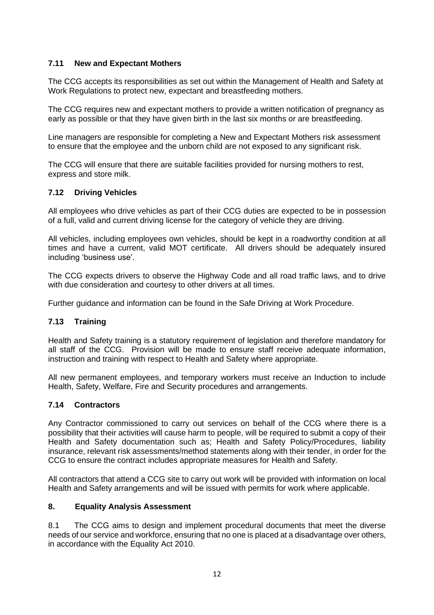#### **7.11 New and Expectant Mothers**

The CCG accepts its responsibilities as set out within the Management of Health and Safety at Work Regulations to protect new, expectant and breastfeeding mothers.

The CCG requires new and expectant mothers to provide a written notification of pregnancy as early as possible or that they have given birth in the last six months or are breastfeeding.

Line managers are responsible for completing a New and Expectant Mothers risk assessment to ensure that the employee and the unborn child are not exposed to any significant risk.

The CCG will ensure that there are suitable facilities provided for nursing mothers to rest, express and store milk.

#### **7.12 Driving Vehicles**

All employees who drive vehicles as part of their CCG duties are expected to be in possession of a full, valid and current driving license for the category of vehicle they are driving.

All vehicles, including employees own vehicles, should be kept in a roadworthy condition at all times and have a current, valid MOT certificate. All drivers should be adequately insured including 'business use'.

The CCG expects drivers to observe the Highway Code and all road traffic laws, and to drive with due consideration and courtesy to other drivers at all times.

Further guidance and information can be found in the Safe Driving at Work Procedure.

#### **7.13 Training**

Health and Safety training is a statutory requirement of legislation and therefore mandatory for all staff of the CCG. Provision will be made to ensure staff receive adequate information, instruction and training with respect to Health and Safety where appropriate.

All new permanent employees, and temporary workers must receive an Induction to include Health, Safety, Welfare, Fire and Security procedures and arrangements.

#### **7.14 Contractors**

Any Contractor commissioned to carry out services on behalf of the CCG where there is a possibility that their activities will cause harm to people, will be required to submit a copy of their Health and Safety documentation such as; Health and Safety Policy/Procedures, liability insurance, relevant risk assessments/method statements along with their tender, in order for the CCG to ensure the contract includes appropriate measures for Health and Safety.

All contractors that attend a CCG site to carry out work will be provided with information on local Health and Safety arrangements and will be issued with permits for work where applicable.

#### **8. Equality Analysis Assessment**

8.1 The CCG aims to design and implement procedural documents that meet the diverse needs of our service and workforce, ensuring that no one is placed at a disadvantage over others, in accordance with the Equality Act 2010.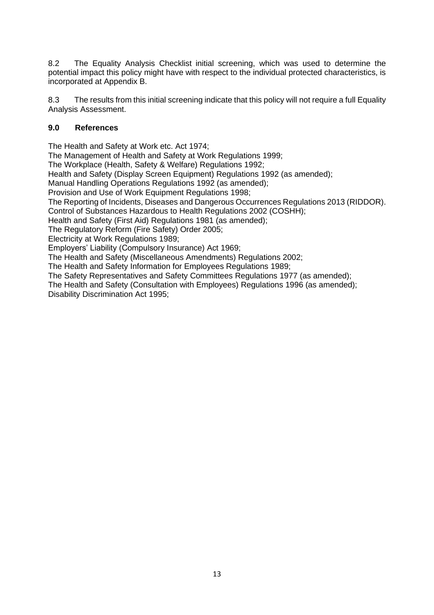8.2 The Equality Analysis Checklist initial screening, which was used to determine the potential impact this policy might have with respect to the individual protected characteristics, is incorporated at Appendix B.

8.3 The results from this initial screening indicate that this policy will not require a full Equality Analysis Assessment.

#### **9.0 References**

The Health and Safety at Work etc. Act 1974;

The Management of Health and Safety at Work Regulations 1999;

The Workplace (Health, Safety & Welfare) Regulations 1992;

Health and Safety (Display Screen Equipment) Regulations 1992 (as amended);

Manual Handling Operations Regulations 1992 (as amended);

Provision and Use of Work Equipment Regulations 1998;

The Reporting of Incidents, Diseases and Dangerous Occurrences Regulations 2013 (RIDDOR).

Control of Substances Hazardous to Health Regulations 2002 (COSHH);

Health and Safety (First Aid) Regulations 1981 (as amended);

The Regulatory Reform (Fire Safety) Order 2005;

Electricity at Work Regulations 1989;

Employers' Liability (Compulsory Insurance) Act 1969;

The Health and Safety (Miscellaneous Amendments) Regulations 2002;

The Health and Safety Information for Employees Regulations 1989;

The Safety Representatives and Safety Committees Regulations 1977 (as amended);

The Health and Safety (Consultation with Employees) Regulations 1996 (as amended); Disability Discrimination Act 1995;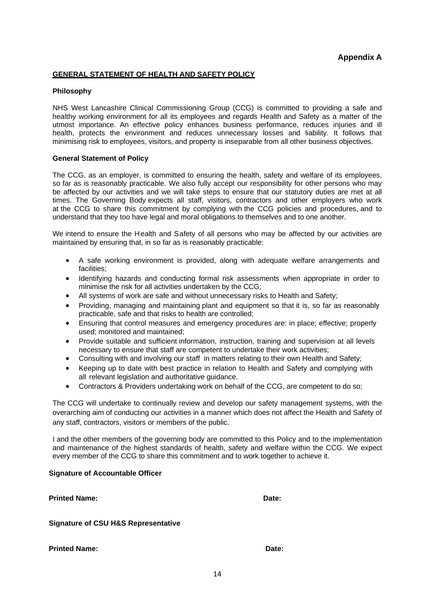#### **GENERAL STATEMENT OF HEALTH AND SAFETY POLICY**

#### **Philosophy**

NHS West Lancashire Clinical Commissioning Group (CCG) is committed to providing a safe and healthy working environment for all its employees and regards Health and Safety as a matter of the utmost importance. An effective policy enhances business performance, reduces injuries and ill health, protects the environment and reduces unnecessary losses and liability. It follows that minimising risk to employees, visitors, and property is inseparable from all other business objectives.

#### **General Statement of Policy**

The CCG, as an employer, is committed to ensuring the health, safety and welfare of its employees, so far as is reasonably practicable. We also fully accept our responsibility for other persons who may be affected by our activities and we will take steps to ensure that our statutory duties are met at all times. The Governing Body expects all staff, visitors, contractors and other employers who work at the CCG to share this commitment by complying with the CCG policies and procedures, and to understand that they too have legal and moral obligations to themselves and to one another.

We intend to ensure the Health and Safety of all persons who may be affected by our activities are maintained by ensuring that, in so far as is reasonably practicable:

- A safe working environment is provided, along with adequate welfare arrangements and facilities;
- Identifying hazards and conducting formal risk assessments when appropriate in order to minimise the risk for all activities undertaken by the CCG;
- All systems of work are safe and without unnecessary risks to Health and Safety;
- Providing, managing and maintaining plant and equipment so that it is, so far as reasonably practicable, safe and that risks to health are controlled;
- Ensuring that control measures and emergency procedures are: in place; effective; properly used; monitored and maintained;
- Provide suitable and sufficient information, instruction, training and supervision at all levels necessary to ensure that staff are competent to undertake their work activities;
- Consulting with and involving our staff in matters relating to their own Health and Safety;
- Keeping up to date with best practice in relation to Health and Safety and complying with all relevant legislation and authoritative guidance.
- Contractors & Providers undertaking work on behalf of the CCG, are competent to do so;

The CCG will undertake to continually review and develop our safety management systems, with the overarching aim of conducting our activities in a manner which does not affect the Health and Safety of any staff, contractors, visitors or members of the public.

I and the other members of the governing body are committed to this Policy and to the implementation and maintenance of the highest standards of health, safety and welfare within the CCG. We expect every member of the CCG to share this commitment and to work together to achieve it.

#### **Signature of Accountable Officer**

| <b>Printed Name:</b> | Date: |
|----------------------|-------|
|----------------------|-------|

**Signature of CSU H&S Representative**

**Printed Name:** Date: **Date:** Date: **Date:** Date: **Date:** Date: **Date:** Date: **Date: Date: Date: Date: Date: Date: Date: Date: Date: Date: Date: Date: Date: Date: Date: Date: Date: Date:**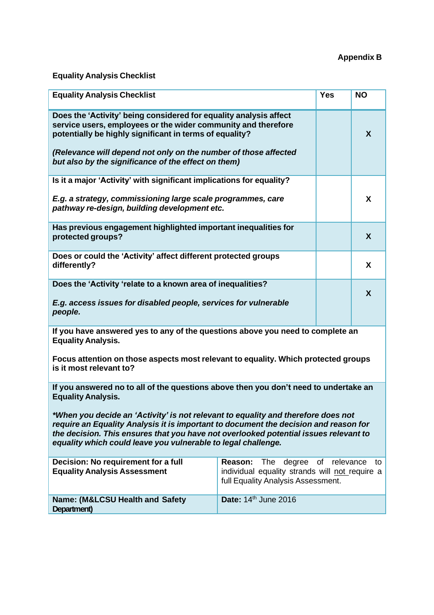# **Appendix B**

# **Equality Analysis Checklist**

| <b>Equality Analysis Checklist</b>                                                                                                                                                                                                                                                                                                                                                                                                                      |                                                                                                                                           |  | <b>NO</b> |  |
|---------------------------------------------------------------------------------------------------------------------------------------------------------------------------------------------------------------------------------------------------------------------------------------------------------------------------------------------------------------------------------------------------------------------------------------------------------|-------------------------------------------------------------------------------------------------------------------------------------------|--|-----------|--|
| Does the 'Activity' being considered for equality analysis affect<br>service users, employees or the wider community and therefore<br>potentially be highly significant in terms of equality?<br>(Relevance will depend not only on the number of those affected<br>but also by the significance of the effect on them)                                                                                                                                 |                                                                                                                                           |  | X         |  |
| Is it a major 'Activity' with significant implications for equality?<br>E.g. a strategy, commissioning large scale programmes, care<br>pathway re-design, building development etc.                                                                                                                                                                                                                                                                     |                                                                                                                                           |  | X         |  |
| Has previous engagement highlighted important inequalities for<br>protected groups?                                                                                                                                                                                                                                                                                                                                                                     |                                                                                                                                           |  | X         |  |
| Does or could the 'Activity' affect different protected groups<br>differently?                                                                                                                                                                                                                                                                                                                                                                          |                                                                                                                                           |  | X         |  |
| Does the 'Activity 'relate to a known area of inequalities?<br>E.g. access issues for disabled people, services for vulnerable<br>people.                                                                                                                                                                                                                                                                                                               |                                                                                                                                           |  | X         |  |
| If you have answered yes to any of the questions above you need to complete an<br><b>Equality Analysis.</b><br>Focus attention on those aspects most relevant to equality. Which protected groups<br>is it most relevant to?                                                                                                                                                                                                                            |                                                                                                                                           |  |           |  |
| If you answered no to all of the questions above then you don't need to undertake an<br><b>Equality Analysis.</b><br>*When you decide an 'Activity' is not relevant to equality and therefore does not<br>require an Equality Analysis it is important to document the decision and reason for<br>the decision. This ensures that you have not overlooked potential issues relevant to<br>equality which could leave you vulnerable to legal challenge. |                                                                                                                                           |  |           |  |
| Decision: No requirement for a full<br><b>Equality Analysis Assessment</b>                                                                                                                                                                                                                                                                                                                                                                              | Reason:<br>of<br>relevance<br>The<br>degree<br>to<br>individual equality strands will not require a<br>full Equality Analysis Assessment. |  |           |  |
| Date: 14 <sup>th</sup> June 2016<br>Name: (M&LCSU Health and Safety<br>Department)                                                                                                                                                                                                                                                                                                                                                                      |                                                                                                                                           |  |           |  |